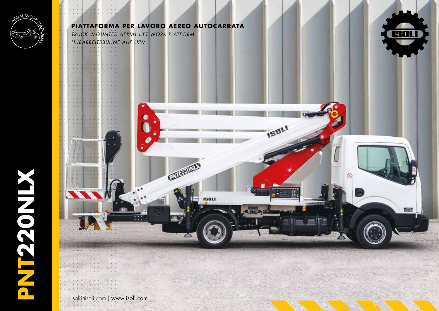